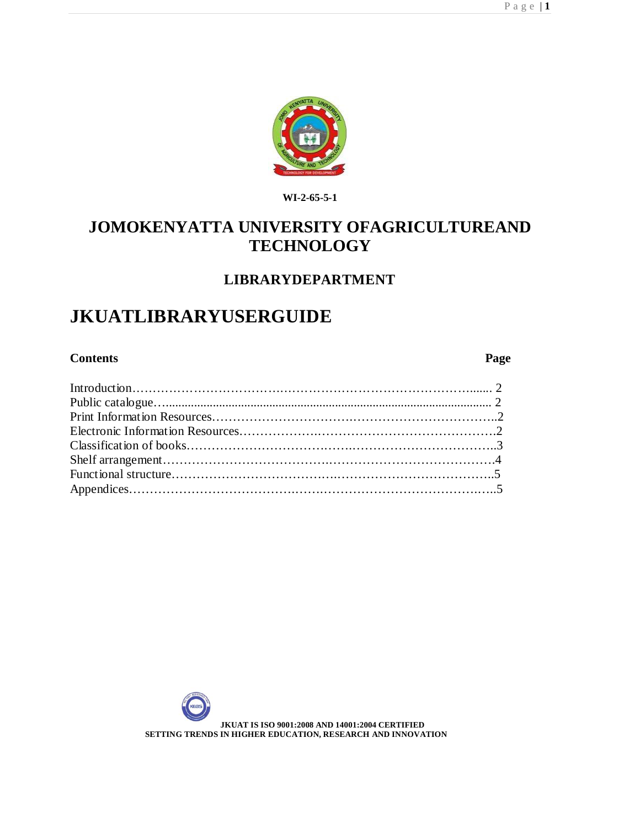

**WI-2-65-5-1**

# **JOMOKENYATTA UNIVERSITY OFAGRICULTUREAND TECHNOLOGY**

# **LIBRARYDEPARTMENT**

# **JKUATLIBRARYUSERGUIDE**

## **Contents Page**

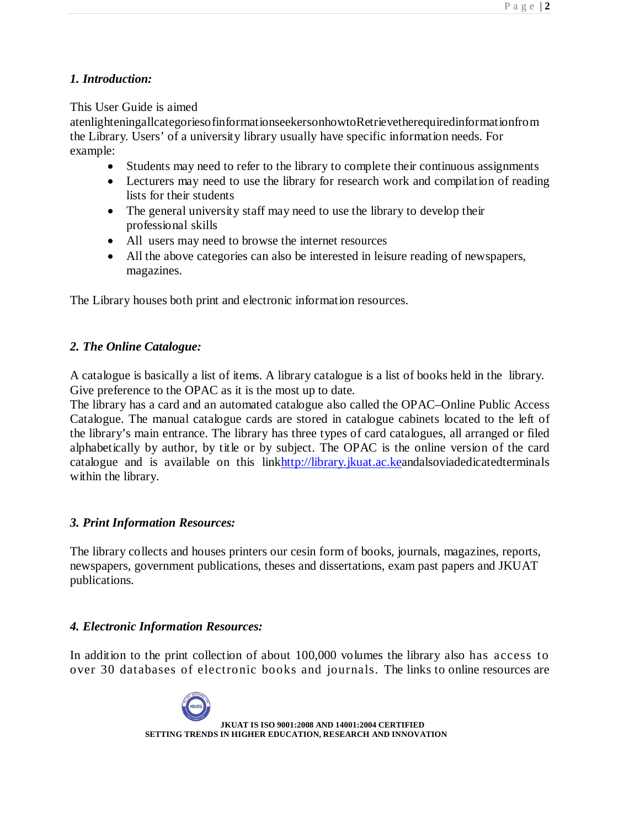# *1. Introduction:*

## This User Guide is aimed

atenlighteningallcategoriesofinformationseekersonhowtoRetrievetherequiredinformationfrom the Library. Users' of a university library usually have specific information needs. For example:

- Students may need to refer to the library to complete their continuous assignments
- Lecturers may need to use the library for research work and compilation of reading lists for their students
- The general university staff may need to use the library to develop their professional skills
- All users may need to browse the internet resources
- All the above categories can also be interested in leisure reading of newspapers, magazines.

The Library houses both print and electronic information resources.

## *2. The Online Catalogue:*

A catalogue is basically a list of items. A library catalogue is a list of books held in the library. Give preference to the OPAC as it is the most up to date.

The library has a card and an automated catalogue also called the OPAC–Online Public Access Catalogue. The manual catalogue cards are stored in catalogue cabinets located to the left of the library's main entrance. The library has three types of card catalogues, all arranged or filed alphabetically by author, by title or by subject. The OPAC is the online version of the card catalogue and is available on this link<http://library.jkuat.ac.keandalsoviadedicatedterminals> within the library.

# *3. Print Information Resources:*

The library collects and houses printers our cesin form of books, journals, magazines, reports, newspapers, government publications, theses and dissertations, exam past papers and JKUAT publications.

### *4. Electronic Information Resources:*

In addition to the print collection of about 100,000 volumes the library also has access to over 30 databases of electronic books and journals. The links to online resources are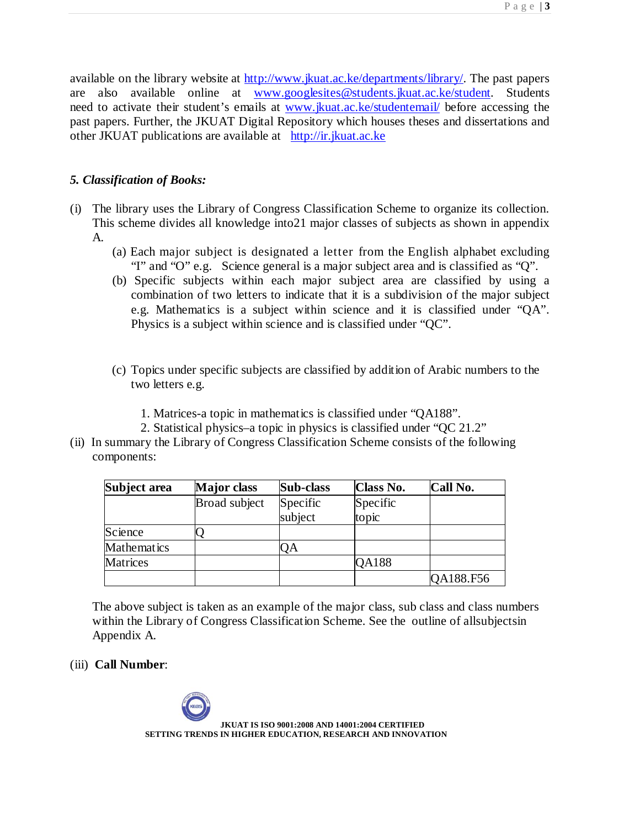available on the library website at <http://www.jkuat.ac.ke/departments/library/.> The past papers are also available online at [www.googlesites@students.jkuat.ac.ke/student.](http://www.googlesites@students.jkuat.ac.ke/student.) Students need to activate their student's emails at [www.jkuat.ac.ke/studentemail/](http://www.jkuat.ac.ke/studentemail/) before accessing the past papers. Further, the JKUAT Digital Repository which houses theses and dissertations and other JKUAT publications are available at <http://ir.jkuat.ac.ke>

# *5. Classification of Books:*

- (i) The library uses the Library of Congress Classification Scheme to organize its collection. This scheme divides all knowledge into21 major classes of subjects as shown in appendix A.
	- (a) Each major subject is designated a letter from the English alphabet excluding "I" and "O" e.g. Science general is a major subject area and is classified as "Q".
	- (b) Specific subjects within each major subject area are classified by using a combination of two letters to indicate that it is a subdivision of the major subject e.g. Mathematics is a subject within science and it is classified under "QA". Physics is a subject within science and is classified under "QC".
	- (c) Topics under specific subjects are classified by addition of Arabic numbers to the two letters e.g.
		- 1. Matrices-a topic in mathematics is classified under "QA188".
		- 2. Statistical physics–a topic in physics is classified under "QC 21.2"
- (ii) In summary the Library of Congress Classification Scheme consists of the following components:

| Subject area    | <b>Major</b> class | Sub-class           | <b>Class No.</b>  | Call No.  |
|-----------------|--------------------|---------------------|-------------------|-----------|
|                 | Broad subject      | Specific<br>subject | Specific<br>topic |           |
| Science         |                    |                     |                   |           |
| Mathematics     |                    | QA                  |                   |           |
| <b>Matrices</b> |                    |                     | QA188             |           |
|                 |                    |                     |                   | QA188.F56 |

The above subject is taken as an example of the major class, sub class and class numbers within the Library of Congress Classification Scheme. See the outline of allsubjectsin Appendix A.

(iii) **Call Number**: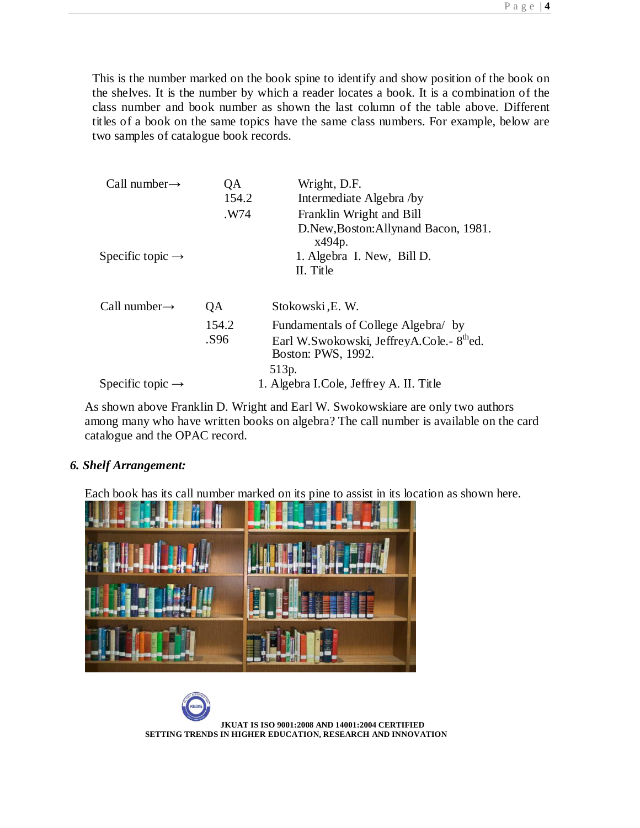This is the number marked on the book spine to identify and show position of the book on the shelves. It is the number by which a reader locates a book. It is a combination of the class number and book number as shown the last column of the table above. Different titles of a book on the same topics have the same class numbers. For example, below are two samples of catalogue book records.

| Call number $\rightarrow$    | QA    | Wright, D.F.                                                                |
|------------------------------|-------|-----------------------------------------------------------------------------|
|                              | 154.2 | Intermediate Algebra /by                                                    |
|                              | .W74  | Franklin Wright and Bill                                                    |
|                              |       | D.New, Boston: Allynand Bacon, 1981.<br>x494p.                              |
| Specific topic $\rightarrow$ |       | 1. Algebra I. New, Bill D.                                                  |
|                              |       | II. Title                                                                   |
|                              |       |                                                                             |
| Call number $\rightarrow$    | QA    | Stokowski, E.W.                                                             |
|                              | 154.2 | Fundamentals of College Algebra/ by                                         |
|                              | .S96  | Earl W.Swokowski, JeffreyA.Cole.- 8 <sup>th</sup> ed.<br>Boston: PWS, 1992. |
|                              |       | 513p.                                                                       |
| Specific topic $\rightarrow$ |       | 1. Algebra I.Cole, Jeffrey A. II. Title                                     |

As shown above Franklin D. Wright and Earl W. Swokowskiare are only two authors among many who have written books on algebra? The call number is available on the card catalogue and the OPAC record.

# *6. Shelf Arrangement:*

Each book has its call number marked on its pine to assist in its location as shown here.

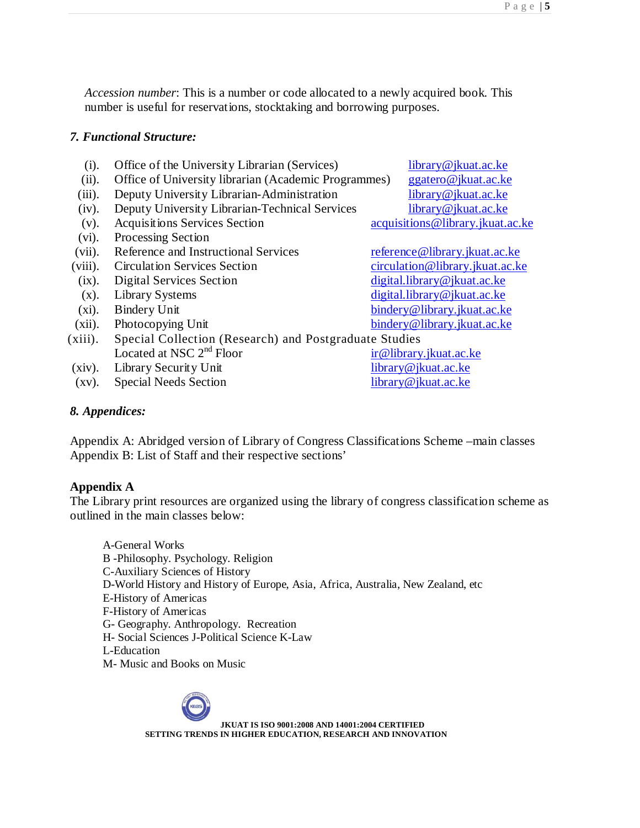*Accession number*: This is a number or code allocated to a newly acquired book. This number is useful for reservations, stocktaking and borrowing purposes.

### *7. Functional Structure:*

- (i). Office of the University Librarian (Services) [library@jkuat.ac.ke](mailto:library@jkuat.ac.ke)
- (ii). Office of University librarian (Academic Programmes) [ggatero@jkuat.ac.ke](mailto:ggatero@jkuat.ac.ke)
- (iii). Deputy University Librarian-Administration [library@jkuat.ac.ke](mailto:library@jkuat.ac.ke)
- (iv). Deputy University Librarian-Technical Services [library@jkuat.ac.ke](mailto:library@jkuat.ac.ke)
- (v). Acquisitions Services Section [acquisitions@library.jkuat.ac.ke](mailto:acquisitions@library.jkuat.ac.ke)
- (vi). Processing Section
- (vii). Reference and Instructional Services reference @library.jkuat.ac.ke
- (viii). Circulation Services Section circulation @library.jkuat.ac.ke
- (ix). Digital Services Section [digital.library@jkuat.ac.ke](mailto:digital.library@jkuat.ac.ke)
- 
- 
- 
- (xiii). Special Collection (Research) and Postgraduate Studies Located at NSC  $2<sup>nd</sup>$  Floor [ir@library.jkuat.ac.ke](mailto:ir@library.jkuat.ac.ke)
- 
- $(xv)$ . Special Needs Section

(x). Library Systems digital.library @jkuat.ac.ke (xi). Bindery Unit bindery @library.jkuat.ac.ke (xii). Photocopying Unit [bindery@library.jkuat.ac.ke](mailto:bindery@library.jkuat.ac.ke)

(xiv). Library Security Unit library @jkuat.ac.ke<br>
(xv). Special Needs Section [library@jkuat.ac.ke](mailto:library@jkuat.ac.ke)

# *8. Appendices:*

Appendix A: Abridged version of Library of Congress Classifications Scheme –main classes Appendix B: List of Staff and their respective sections'

# **Appendix A**

The Library print resources are organized using the library of congress classification scheme as outlined in the main classes below:

A-General Works B -Philosophy. Psychology. Religion C-Auxiliary Sciences of History D-World History and History of Europe, Asia, Africa, Australia, New Zealand, etc E-History of Americas F-History of Americas G- Geography. Anthropology. Recreation H- Social Sciences J-Political Science K-Law L-Education M- Music and Books on Music

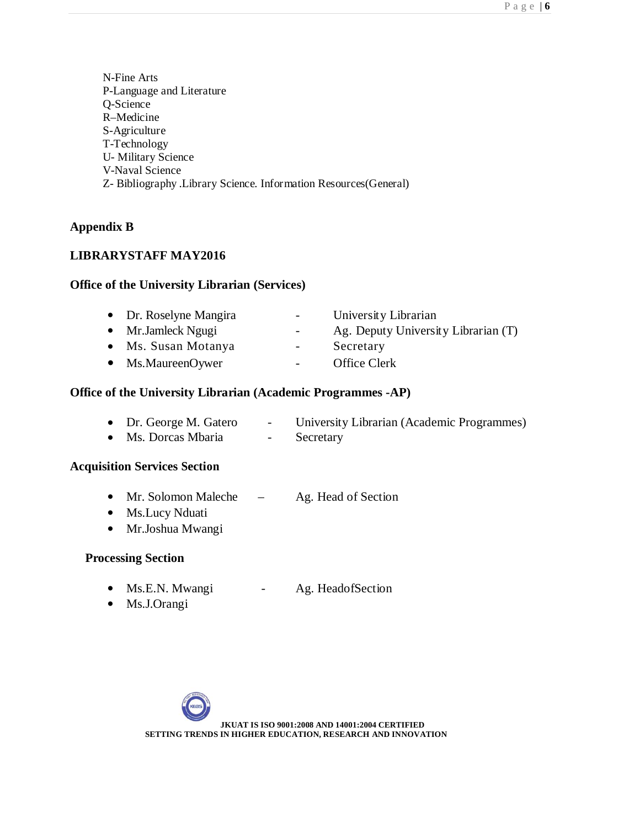N-Fine Arts P-Language and Literature Q-Science R–Medicine S-Agriculture T-Technology U- Military Science V-Naval Science Z- Bibliography .Library Science. Information Resources(General)

# **Appendix B**

# **LIBRARYSTAFF MAY2016**

## **Office of the University Librarian (Services)**

| • Dr. Roselyne Mangira | $\blacksquare$           | University Librarian                |
|------------------------|--------------------------|-------------------------------------|
| • Mr.Jamleck Ngugi     | $\overline{\phantom{a}}$ | Ag. Deputy University Librarian (T) |
| • Ms. Susan Motanya    | $\overline{\phantom{a}}$ | Secretary                           |
| • Ms.MaureenOywer      | $\overline{\phantom{a}}$ | Office Clerk                        |
|                        |                          |                                     |

## **Office of the University Librarian (Academic Programmes -AP)**

|  | • Dr. George M. Gatero |  |  | University Librarian (Academic Programmes) |  |
|--|------------------------|--|--|--------------------------------------------|--|
|--|------------------------|--|--|--------------------------------------------|--|

• Ms. Dorcas Mbaria - Secretary

### **Acquisition Services Section**

- Mr. Solomon Maleche Ag. Head of Section
- Ms.Lucy Nduati
- Mr.Joshua Mwangi

# **Processing Section**

- Ms.E.N. Mwangi Ag. HeadofSection
- Ms.J.Orangi

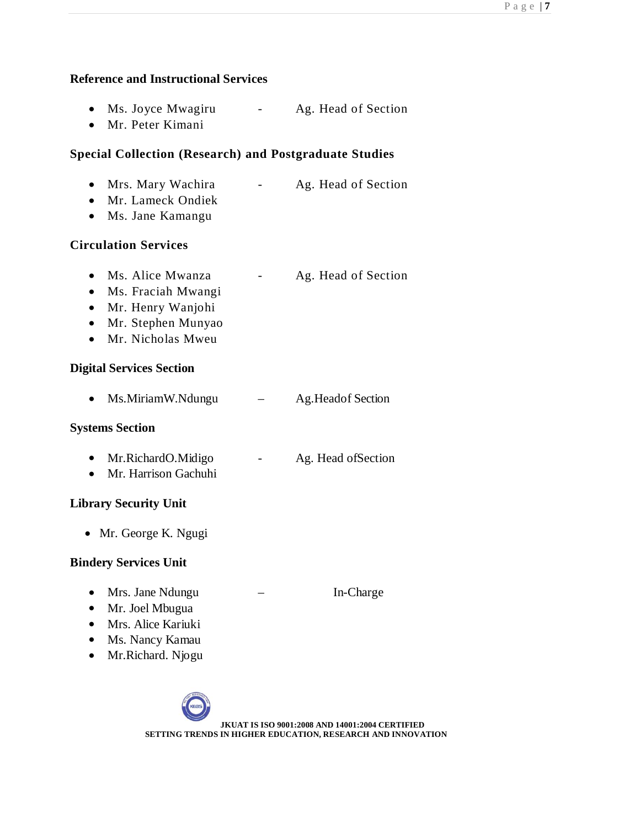## **Reference and Instructional Services**

- Ms. Joyce Mwagiru Ag. Head of Section
- Mr. Peter Kimani

# **Special Collection (Research) and Postgraduate Studies**

- Mrs. Mary Wachira Ag. Head of Section
- Mr. Lameck Ondiek
- Ms. Jane Kamangu

# **Circulation Services**

- Ms. Alice Mwanza Ag. Head of Section
- Ms. Fraciah Mwangi
- Mr. Henry Wanjohi
- Mr. Stephen Munyao
- Mr. Nicholas Mweu

# **Digital Services Section**

• Ms.MiriamW.Ndungu – Ag.Headof Section

# **Systems Section**

- Mr.RichardO.Midigo Ag. Head of Section
- Mr. Harrison Gachuhi

# **Library Security Unit**

• Mr. George K. Ngugi

# **Bindery Services Unit**

- Mrs. Jane Ndungu In-Charge
- Mr. Joel Mbugua
- Mrs. Alice Kariuki
- Ms. Nancy Kamau
- Mr.Richard. Njogu

**JKUAT IS ISO 9001:2008 AND 14001:2004 CERTIFIED SETTING TRENDS IN HIGHER EDUCATION, RESEARCH AND INNOVATION**